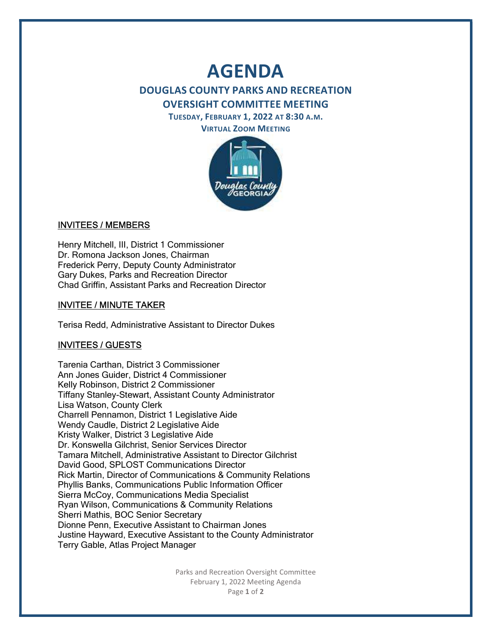# AGENDA

# DOUGLAS COUNTY PARKS AND RECREATION OVERSIGHT COMMITTEE MEETING

TUESDAY, FEBRUARY 1, 2022 AT 8:30 A.M.

VIRTUAL ZOOM MEETING



## INVITEES / MEMBERS

Henry Mitchell, III, District 1 Commissioner Dr. Romona Jackson Jones, Chairman Frederick Perry, Deputy County Administrator Gary Dukes, Parks and Recreation Director Chad Griffin, Assistant Parks and Recreation Director

## INVITEE / MINUTE TAKER

Terisa Redd, Administrative Assistant to Director Dukes

#### INVITEES / GUESTS

Tarenia Carthan, District 3 Commissioner Ann Jones Guider, District 4 Commissioner Kelly Robinson, District 2 Commissioner Tiffany Stanley-Stewart, Assistant County Administrator Lisa Watson, County Clerk Charrell Pennamon, District 1 Legislative Aide Wendy Caudle, District 2 Legislative Aide Kristy Walker, District 3 Legislative Aide Dr. Konswella Gilchrist, Senior Services Director Tamara Mitchell, Administrative Assistant to Director Gilchrist David Good, SPLOST Communications Director Rick Martin, Director of Communications & Community Relations Phyllis Banks, Communications Public Information Officer Sierra McCoy, Communications Media Specialist Ryan Wilson, Communications & Community Relations Sherri Mathis, BOC Senior Secretary Dionne Penn, Executive Assistant to Chairman Jones Justine Hayward, Executive Assistant to the County Administrator Terry Gable, Atlas Project Manager

> Parks and Recreation Oversight Committee February 1, 2022 Meeting Agenda Page 1 of 2